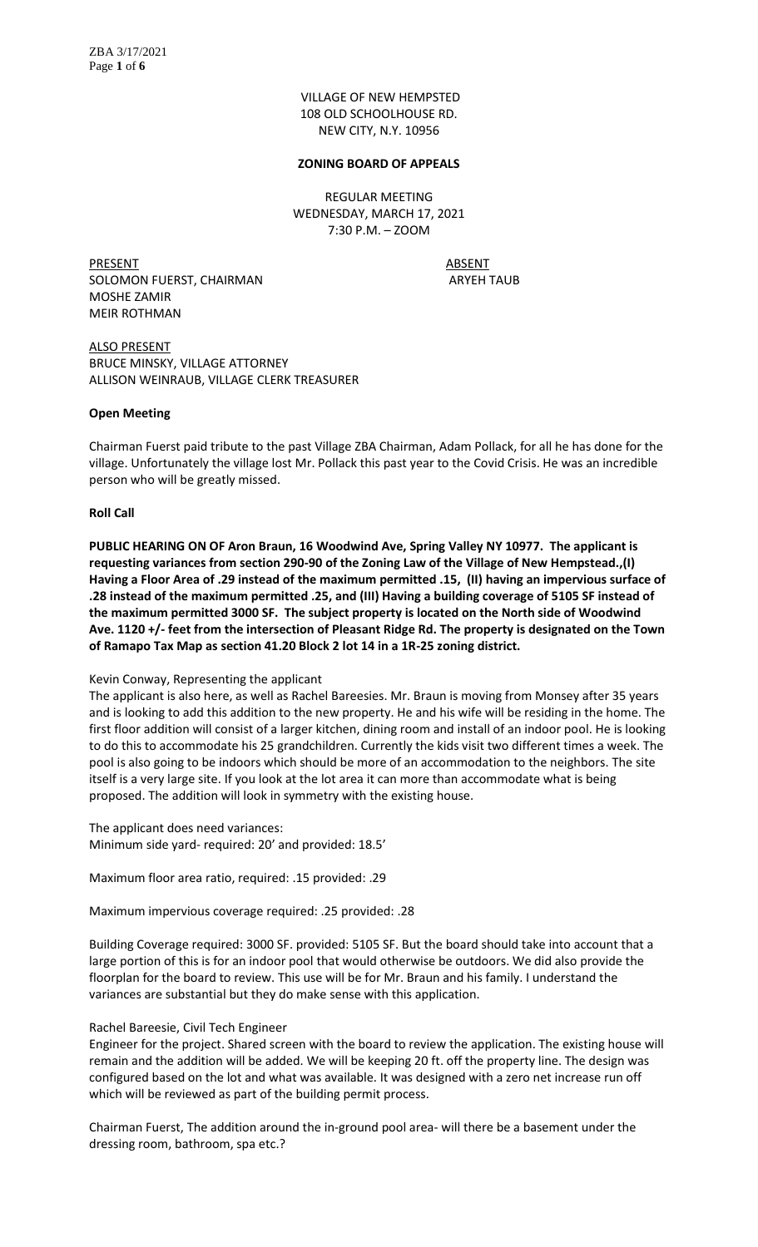VILLAGE OF NEW HEMPSTED 108 OLD SCHOOLHOUSE RD. NEW CITY, N.Y. 10956

#### **ZONING BOARD OF APPEALS**

REGULAR MEETING WEDNESDAY, MARCH 17, 2021 7:30 P.M. – ZOOM

PRESENT ABSENT SOLOMON FUERST, CHAIRMAN ARYEH TAUB MOSHE ZAMIR MEIR ROTHMAN

ALSO PRESENT BRUCE MINSKY, VILLAGE ATTORNEY ALLISON WEINRAUB, VILLAGE CLERK TREASURER

#### **Open Meeting**

Chairman Fuerst paid tribute to the past Village ZBA Chairman, Adam Pollack, for all he has done for the village. Unfortunately the village lost Mr. Pollack this past year to the Covid Crisis. He was an incredible person who will be greatly missed.

#### **Roll Call**

**PUBLIC HEARING ON OF Aron Braun, 16 Woodwind Ave, Spring Valley NY 10977. The applicant is requesting variances from section 290-90 of the Zoning Law of the Village of New Hempstead.,(I) Having a Floor Area of .29 instead of the maximum permitted .15, (II) having an impervious surface of .28 instead of the maximum permitted .25, and (III) Having a building coverage of 5105 SF instead of the maximum permitted 3000 SF. The subject property is located on the North side of Woodwind Ave. 1120 +/- feet from the intersection of Pleasant Ridge Rd. The property is designated on the Town of Ramapo Tax Map as section 41.20 Block 2 lot 14 in a 1R-25 zoning district.** 

#### Kevin Conway, Representing the applicant

The applicant is also here, as well as Rachel Bareesies. Mr. Braun is moving from Monsey after 35 years and is looking to add this addition to the new property. He and his wife will be residing in the home. The first floor addition will consist of a larger kitchen, dining room and install of an indoor pool. He is looking to do this to accommodate his 25 grandchildren. Currently the kids visit two different times a week. The pool is also going to be indoors which should be more of an accommodation to the neighbors. The site itself is a very large site. If you look at the lot area it can more than accommodate what is being proposed. The addition will look in symmetry with the existing house.

The applicant does need variances: Minimum side yard- required: 20' and provided: 18.5'

Maximum floor area ratio, required: .15 provided: .29

Maximum impervious coverage required: .25 provided: .28

Building Coverage required: 3000 SF. provided: 5105 SF. But the board should take into account that a large portion of this is for an indoor pool that would otherwise be outdoors. We did also provide the floorplan for the board to review. This use will be for Mr. Braun and his family. I understand the variances are substantial but they do make sense with this application.

#### Rachel Bareesie, Civil Tech Engineer

Engineer for the project. Shared screen with the board to review the application. The existing house will remain and the addition will be added. We will be keeping 20 ft. off the property line. The design was configured based on the lot and what was available. It was designed with a zero net increase run off which will be reviewed as part of the building permit process.

Chairman Fuerst, The addition around the in-ground pool area- will there be a basement under the dressing room, bathroom, spa etc.?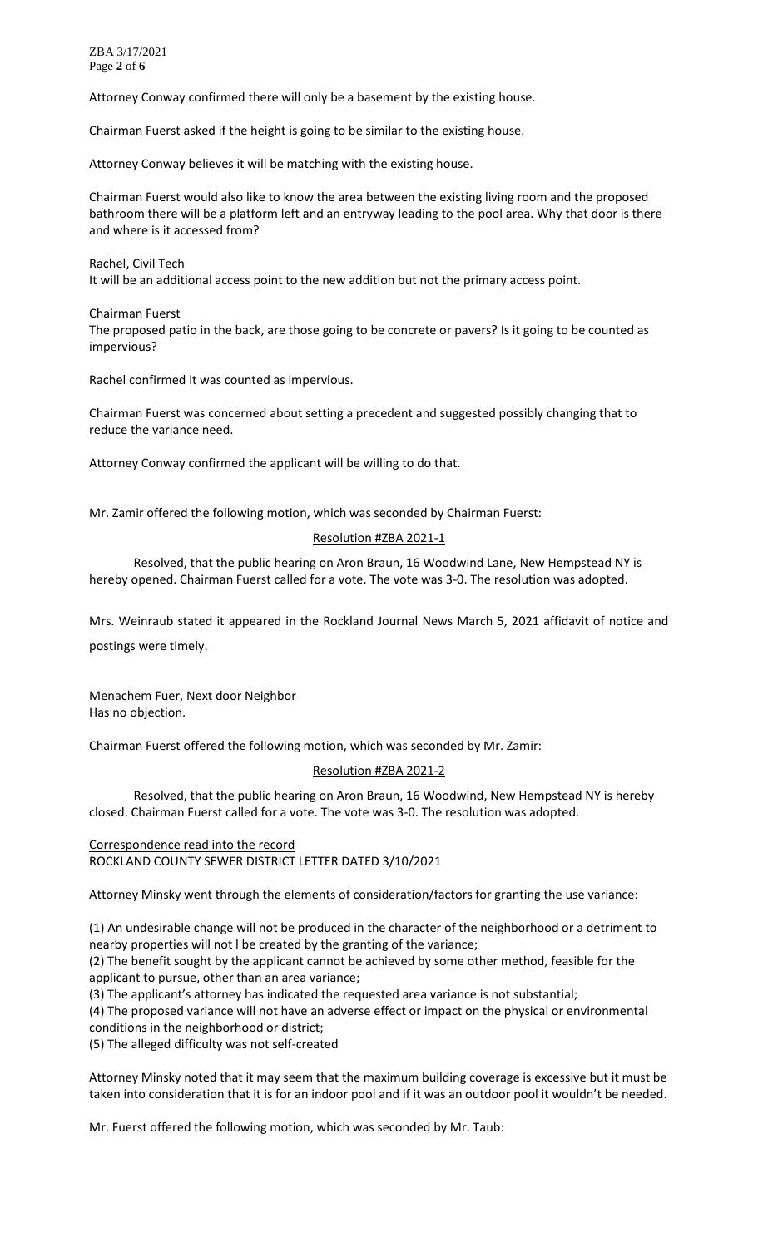ZBA 3/17/2021 Page **2** of **6**

Attorney Conway confirmed there will only be a basement by the existing house.

Chairman Fuerst asked if the height is going to be similar to the existing house.

Attorney Conway believes it will be matching with the existing house.

Chairman Fuerst would also like to know the area between the existing living room and the proposed bathroom there will be a platform left and an entryway leading to the pool area. Why that door is there and where is it accessed from?

Rachel, Civil Tech It will be an additional access point to the new addition but not the primary access point.

Chairman Fuerst The proposed patio in the back, are those going to be concrete or pavers? Is it going to be counted as impervious?

Rachel confirmed it was counted as impervious.

Chairman Fuerst was concerned about setting a precedent and suggested possibly changing that to reduce the variance need.

Attorney Conway confirmed the applicant will be willing to do that.

Mr. Zamir offered the following motion, which was seconded by Chairman Fuerst:

#### Resolution #ZBA 2021-1

Resolved, that the public hearing on Aron Braun, 16 Woodwind Lane, New Hempstead NY is hereby opened. Chairman Fuerst called for a vote. The vote was 3-0. The resolution was adopted.

Mrs. Weinraub stated it appeared in the Rockland Journal News March 5, 2021 affidavit of notice and

postings were timely.

Menachem Fuer, Next door Neighbor Has no objection.

Chairman Fuerst offered the following motion, which was seconded by Mr. Zamir:

#### Resolution #ZBA 2021-2

Resolved, that the public hearing on Aron Braun, 16 Woodwind, New Hempstead NY is hereby closed. Chairman Fuerst called for a vote. The vote was 3-0. The resolution was adopted.

#### Correspondence read into the record ROCKLAND COUNTY SEWER DISTRICT LETTER DATED 3/10/2021

Attorney Minsky went through the elements of consideration/factors for granting the use variance:

(1) An undesirable change will not be produced in the character of the neighborhood or a detriment to nearby properties will not l be created by the granting of the variance;

(2) The benefit sought by the applicant cannot be achieved by some other method, feasible for the applicant to pursue, other than an area variance;

(3) The applicant's attorney has indicated the requested area variance is not substantial;

(4) The proposed variance will not have an adverse effect or impact on the physical or environmental conditions in the neighborhood or district;

(5) The alleged difficulty was not self-created

Attorney Minsky noted that it may seem that the maximum building coverage is excessive but it must be taken into consideration that it is for an indoor pool and if it was an outdoor pool it wouldn't be needed.

Mr. Fuerst offered the following motion, which was seconded by Mr. Taub: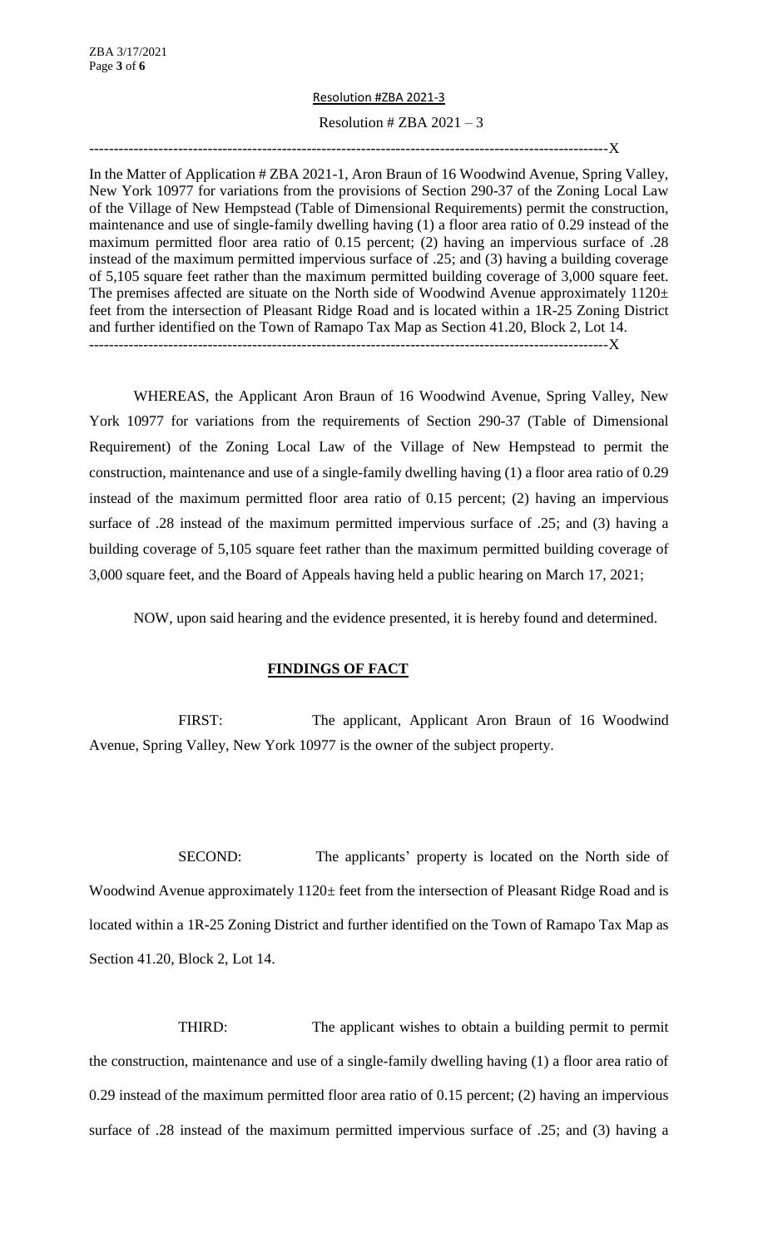# Resolution #ZBA 2021-3

# Resolution # ZBA  $2021 - 3$

---------------------------------------------------------------------------------------------------------X

In the Matter of Application # ZBA 2021-1, Aron Braun of 16 Woodwind Avenue, Spring Valley, New York 10977 for variations from the provisions of Section 290-37 of the Zoning Local Law of the Village of New Hempstead (Table of Dimensional Requirements) permit the construction, maintenance and use of single-family dwelling having (1) a floor area ratio of 0.29 instead of the maximum permitted floor area ratio of 0.15 percent; (2) having an impervious surface of .28 instead of the maximum permitted impervious surface of .25; and (3) having a building coverage of 5,105 square feet rather than the maximum permitted building coverage of 3,000 square feet. The premises affected are situate on the North side of Woodwind Avenue approximately  $1120 \pm$ feet from the intersection of Pleasant Ridge Road and is located within a 1R-25 Zoning District and further identified on the Town of Ramapo Tax Map as Section 41.20, Block 2, Lot 14.

---------------------------------------------------------------------------------------------------------X

WHEREAS, the Applicant Aron Braun of 16 Woodwind Avenue, Spring Valley, New York 10977 for variations from the requirements of Section 290-37 (Table of Dimensional Requirement) of the Zoning Local Law of the Village of New Hempstead to permit the construction, maintenance and use of a single-family dwelling having (1) a floor area ratio of 0.29 instead of the maximum permitted floor area ratio of 0.15 percent; (2) having an impervious surface of .28 instead of the maximum permitted impervious surface of .25; and (3) having a building coverage of 5,105 square feet rather than the maximum permitted building coverage of 3,000 square feet, and the Board of Appeals having held a public hearing on March 17, 2021;

NOW, upon said hearing and the evidence presented, it is hereby found and determined.

# **FINDINGS OF FACT**

FIRST: The applicant, Applicant Aron Braun of 16 Woodwind Avenue, Spring Valley, New York 10977 is the owner of the subject property.

SECOND: The applicants' property is located on the North side of Woodwind Avenue approximately  $1120 \pm$  feet from the intersection of Pleasant Ridge Road and is located within a 1R-25 Zoning District and further identified on the Town of Ramapo Tax Map as Section 41.20, Block 2, Lot 14.

THIRD: The applicant wishes to obtain a building permit to permit the construction, maintenance and use of a single-family dwelling having (1) a floor area ratio of 0.29 instead of the maximum permitted floor area ratio of 0.15 percent; (2) having an impervious surface of .28 instead of the maximum permitted impervious surface of .25; and (3) having a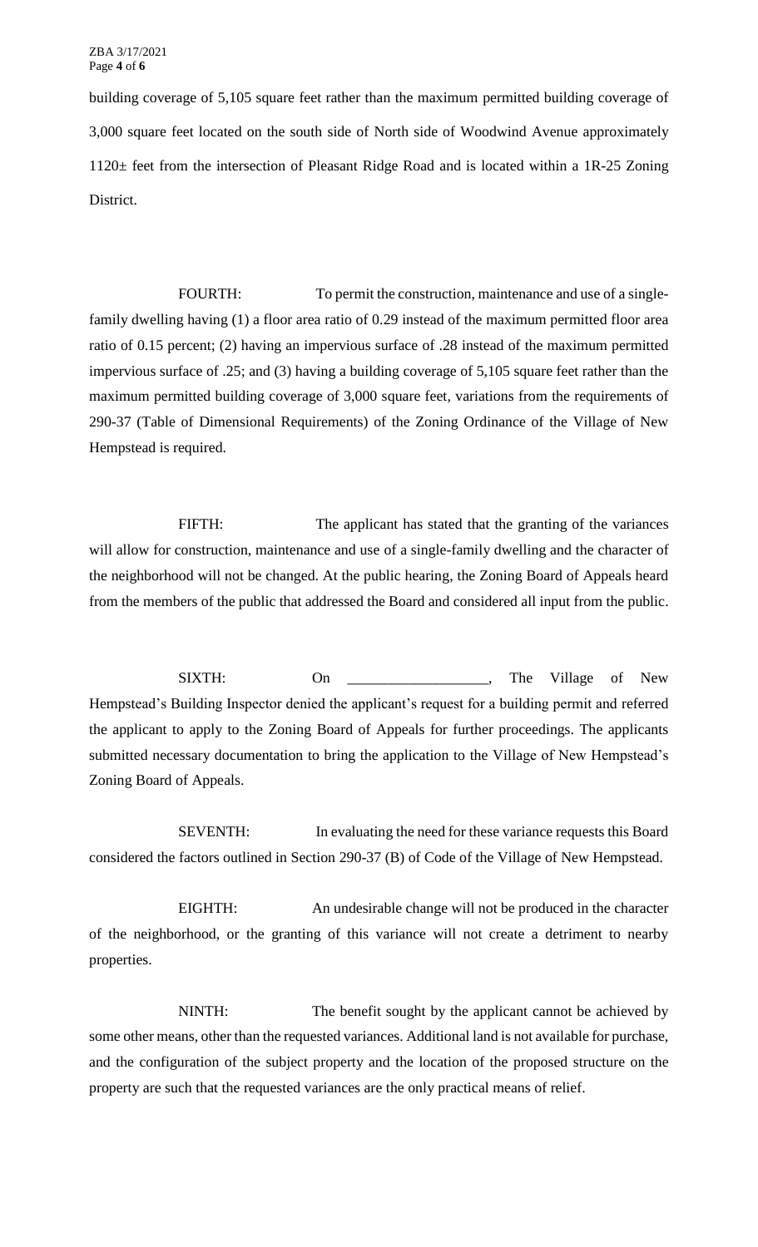ZBA 3/17/2021 Page **4** of **6**

building coverage of 5,105 square feet rather than the maximum permitted building coverage of 3,000 square feet located on the south side of North side of Woodwind Avenue approximately 1120± feet from the intersection of Pleasant Ridge Road and is located within a 1R-25 Zoning District.

FOURTH: To permit the construction, maintenance and use of a singlefamily dwelling having (1) a floor area ratio of 0.29 instead of the maximum permitted floor area ratio of 0.15 percent; (2) having an impervious surface of .28 instead of the maximum permitted impervious surface of .25; and (3) having a building coverage of 5,105 square feet rather than the maximum permitted building coverage of 3,000 square feet, variations from the requirements of 290-37 (Table of Dimensional Requirements) of the Zoning Ordinance of the Village of New Hempstead is required.

FIFTH: The applicant has stated that the granting of the variances will allow for construction, maintenance and use of a single-family dwelling and the character of the neighborhood will not be changed. At the public hearing, the Zoning Board of Appeals heard from the members of the public that addressed the Board and considered all input from the public.

SIXTH: On \_\_\_\_\_\_\_\_\_\_\_\_\_, The Village of New Hempstead's Building Inspector denied the applicant's request for a building permit and referred the applicant to apply to the Zoning Board of Appeals for further proceedings. The applicants submitted necessary documentation to bring the application to the Village of New Hempstead's Zoning Board of Appeals.

SEVENTH: In evaluating the need for these variance requests this Board considered the factors outlined in Section 290-37 (B) of Code of the Village of New Hempstead.

EIGHTH: An undesirable change will not be produced in the character of the neighborhood, or the granting of this variance will not create a detriment to nearby properties.

NINTH: The benefit sought by the applicant cannot be achieved by some other means, other than the requested variances. Additional land is not available for purchase, and the configuration of the subject property and the location of the proposed structure on the property are such that the requested variances are the only practical means of relief.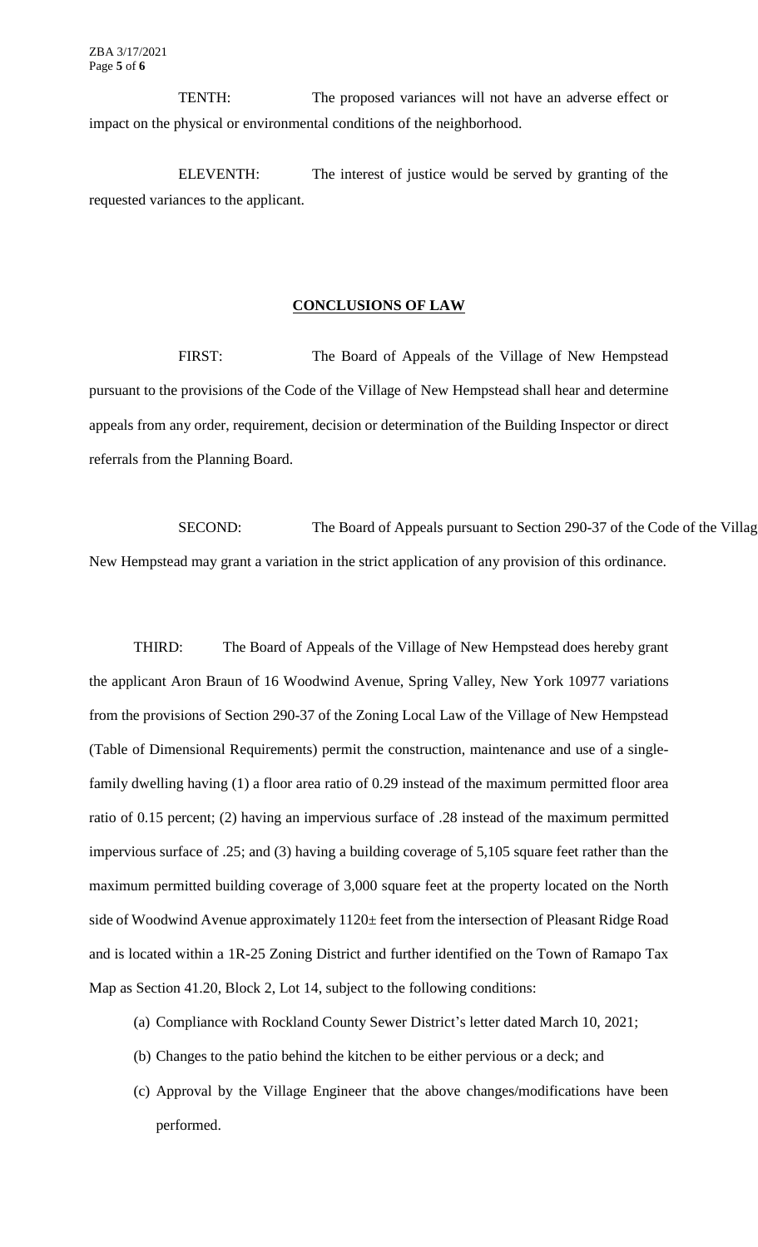TENTH: The proposed variances will not have an adverse effect or impact on the physical or environmental conditions of the neighborhood.

ELEVENTH: The interest of justice would be served by granting of the requested variances to the applicant.

#### **CONCLUSIONS OF LAW**

FIRST: The Board of Appeals of the Village of New Hempstead pursuant to the provisions of the Code of the Village of New Hempstead shall hear and determine appeals from any order, requirement, decision or determination of the Building Inspector or direct referrals from the Planning Board.

SECOND: The Board of Appeals pursuant to Section 290-37 of the Code of the Villag New Hempstead may grant a variation in the strict application of any provision of this ordinance.

THIRD: The Board of Appeals of the Village of New Hempstead does hereby grant the applicant Aron Braun of 16 Woodwind Avenue, Spring Valley, New York 10977 variations from the provisions of Section 290-37 of the Zoning Local Law of the Village of New Hempstead (Table of Dimensional Requirements) permit the construction, maintenance and use of a singlefamily dwelling having (1) a floor area ratio of 0.29 instead of the maximum permitted floor area ratio of 0.15 percent; (2) having an impervious surface of .28 instead of the maximum permitted impervious surface of .25; and (3) having a building coverage of 5,105 square feet rather than the maximum permitted building coverage of 3,000 square feet at the property located on the North side of Woodwind Avenue approximately 1120± feet from the intersection of Pleasant Ridge Road and is located within a 1R-25 Zoning District and further identified on the Town of Ramapo Tax Map as Section 41.20, Block 2, Lot 14, subject to the following conditions:

- (a) Compliance with Rockland County Sewer District's letter dated March 10, 2021;
- (b) Changes to the patio behind the kitchen to be either pervious or a deck; and
- (c) Approval by the Village Engineer that the above changes/modifications have been performed.